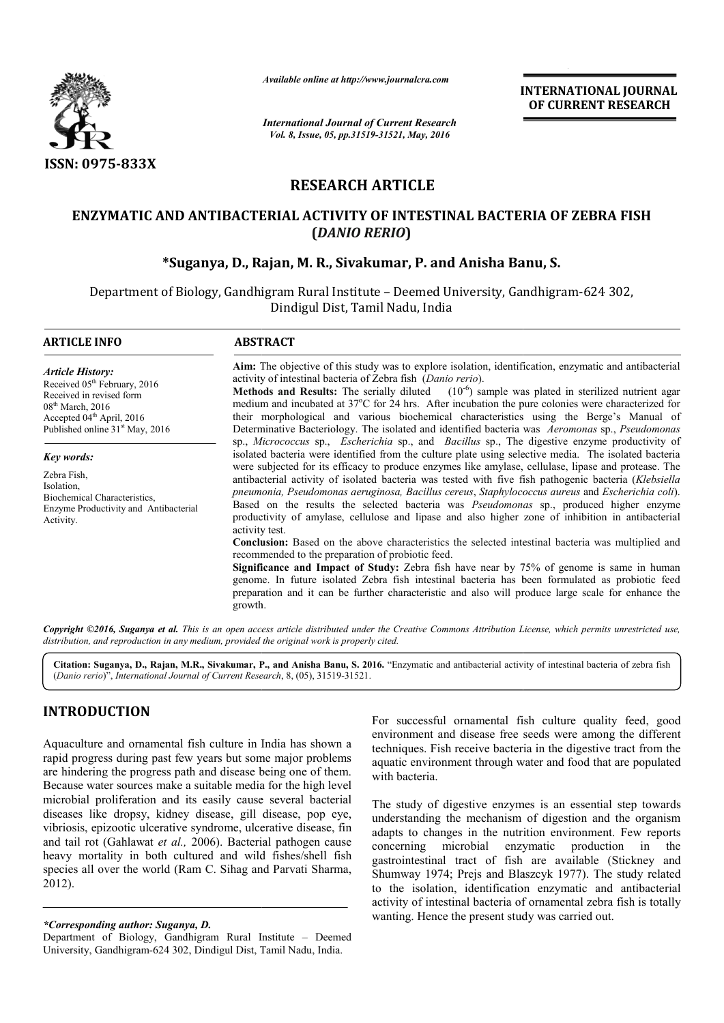

*Available online at http://www.journalcra.com*

*International Journal of Current Research Vol. 8, Issue, 05, pp.31519-31521, May, 2016*

**INTERNATIONAL JOURNAL OF CURRENT RESEARCH** 

# **RESEARCH ARTICLE**

## **ENZYMATIC AND ANTIBACTERIAL ACTIVITY OF INTESTINAL BACTERIA OF ZEBRA FISH (***DANIO RERIO***)**

## **\*Suganya, D., Rajan, M. R., Sivakumar, P. and Anisha Banu and Anisha Banu, S.**

Department of Biology, Gandhigram Rural Institute - Deemed University, Gandhigram-624 302, Dindigul Dist, Tamil Nadu, India

| <b>ARTICLE INFO</b>                                                                                                                                                                                           | <b>ABSTRACT</b>                                                                                                                                                                                                                                                                                                                                                                                                                                                                                                                                                                                                                                                                                                                                     |  |  |  |  |  |  |
|---------------------------------------------------------------------------------------------------------------------------------------------------------------------------------------------------------------|-----------------------------------------------------------------------------------------------------------------------------------------------------------------------------------------------------------------------------------------------------------------------------------------------------------------------------------------------------------------------------------------------------------------------------------------------------------------------------------------------------------------------------------------------------------------------------------------------------------------------------------------------------------------------------------------------------------------------------------------------------|--|--|--|--|--|--|
| <b>Article History:</b><br>Received 05 <sup>th</sup> February, 2016<br>Received in revised form<br>$08th$ March, 2016<br>Accepted 04 <sup>th</sup> April, 2016<br>Published online 31 <sup>st</sup> May, 2016 | Aim: The objective of this study was to explore isolation, identification, enzymatic and antibacterial<br>activity of intestinal bacteria of Zebra fish (Danio rerio).<br><b>Methods and Results:</b> The serially diluted $(10^{-6})$ sample was plated in sterilized nutrient agar<br>medium and incubated at 37°C for 24 hrs. After incubation the pure colonies were characterized for<br>their morphological and various biochemical characteristics using the Berge's Manual of<br>Determinative Bacteriology. The isolated and identified bacteria was Aeromonas sp., Pseudomonas                                                                                                                                                            |  |  |  |  |  |  |
| <b>Key words:</b><br>Zebra Fish,<br>Isolation.<br>Biochemical Characteristics.<br>Enzyme Productivity and Antibacterial<br>Activity.                                                                          | sp., Micrococcus sp., Escherichia sp., and Bacillus sp., The digestive enzyme productivity of<br>isolated bacteria were identified from the culture plate using selective media. The isolated bacteria<br>were subjected for its efficacy to produce enzymes like amylase, cellulase, lipase and protease. The<br>antibacterial activity of isolated bacteria was tested with five fish pathogenic bacteria (Klebsiella<br>pneumonia, Pseudomonas aeruginosa, Bacillus cereus, Staphylococcus aureus and Escherichia coli).<br>Based on the results the selected bacteria was <i>Pseudomonas</i> sp., produced higher enzyme<br>productivity of amylase, cellulose and lipase and also higher zone of inhibition in antibacterial<br>activity test. |  |  |  |  |  |  |
|                                                                                                                                                                                                               | <b>Conclusion:</b> Based on the above characteristics the selected intestinal bacteria was multiplied and<br>recommended to the preparation of probiotic feed.                                                                                                                                                                                                                                                                                                                                                                                                                                                                                                                                                                                      |  |  |  |  |  |  |
|                                                                                                                                                                                                               | Significance and Impact of Study: Zebra fish have near by 75% of genome is same in human<br>genome. In future isolated Zebra fish intestinal bacteria has been formulated as probiotic feed<br>preparation and it can be further characteristic and also will produce large scale for enhance the<br>growth.                                                                                                                                                                                                                                                                                                                                                                                                                                        |  |  |  |  |  |  |

*Copyright ©2016, Suganya et al. This is an open access article distributed under the Creative Commons Attribution License, which ribution which permits unrestricted use, distribution, and reproduction in any medium, provided the original work is properly cited.*

Citation: Suganya, D., Rajan, M.R., Sivakumar, P., and Anisha Banu, S. 2016. "Enzymatic and antibacterial activity of intestinal bacteria of zebra fish (*Danio rerio*)", *International Journal of Current Research* , 8, (05), 31519-31521.

## **INTRODUCTION**

Aquaculture and ornamental fish culture in India has shown a rapid progress during past few years but some major problems are hindering the progress path and disease being one of them. Because water sources make a suitable media for the high level microbial proliferation and its easily cause several bacterial diseases like dropsy, kidney disease, gill disease, pop eye, vibriosis, epizootic ulcerative syndrome, ulcerative disease, fin and tail rot (Gahlawat *et al.,* 2006). Bacterial pathogen cause heavy mortality in both cultured and wild fishes/shell fish species all over the world (Ram C. Sihag and Parvati Sharma, 2012). 1 proliferation and its easily cause several bacterial<br>like dropsy, kidney disease, gill disease, pop eye,<br>, epizootic ulcerative syndrome, ulcerative disease, fin<br>rot (Gahlawat *et al.*, 2006). Bacterial pathogen cause<br>oo

*\*Corresponding author: Suganya, D.*

For successful ornamental fish culture quality feed, good environment and disease free seeds were among the different techniques. Fish receive bacteria in the digestive tract from the aquatic environment through water and food that are populated with bacteria.

The study of digestive enzymes is an essential step towards understanding the mechanism of digestion and the organism adapts to changes in the nutrition environment. Few reports concerning microbial enzymatic production in the gastrointestinal tract of fish are available (Stickney and Shumway 1974; Prejs and Blaszcyk 1977). The study related to the isolation, identification enzymatic and antibacterial to the isolation, identification enzymatic and antibacterial activity of intestinal bacteria of ornamental zebra fish is totally wanting. Hence the present study was carried out. For successful ornamental fish culture quality feed, good<br>environment and disease free seeds were among the different<br>techniques. Fish receive bacteria in the digestive tract from the<br>aquatic environment through water and

Department of Biology, Gandhigram Rural Institute - Deemed University, Gandhigram-624 302, Dindigul Dist, Tamil Nadu, India.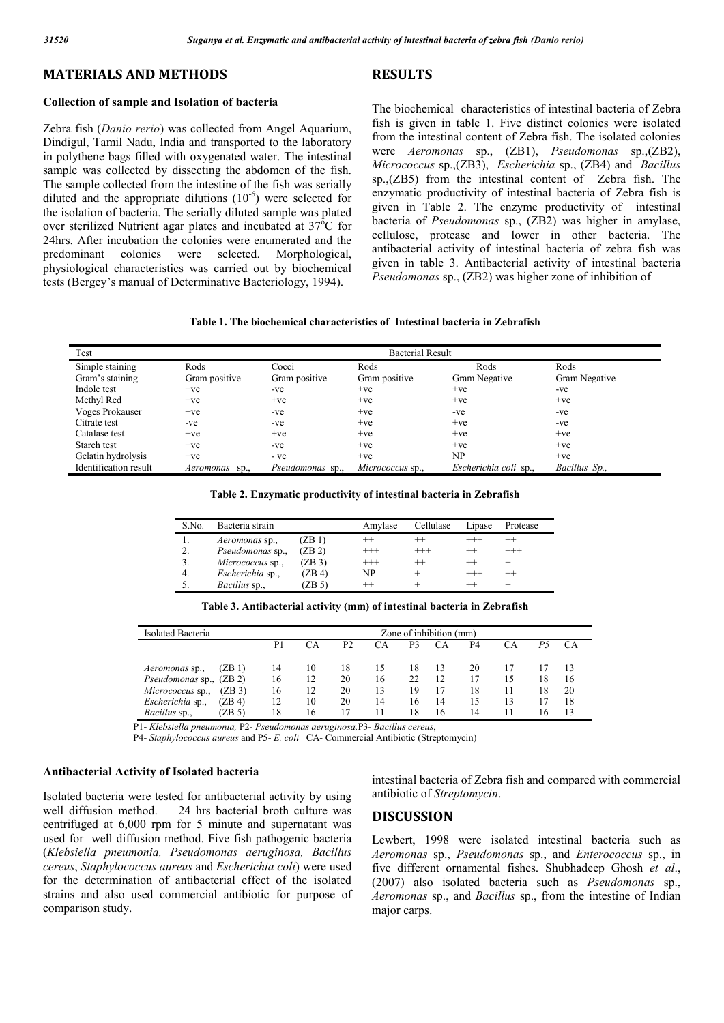**RESULTS**

### **MATERIALS AND METHODS**

### **Collection of sample and Isolation of bacteria**

Zebra fish (*Danio rerio*) was collected from Angel Aquarium, Dindigul, Tamil Nadu, India and transported to the laboratory in polythene bags filled with oxygenated water. The intestinal sample was collected by dissecting the abdomen of the fish. The sample collected from the intestine of the fish was serially diluted and the appropriate dilutions  $(10^{-6})$  were selected for the isolation of bacteria. The serially diluted sample was plated over sterilized Nutrient agar plates and incubated at 37°C for 24hrs. After incubation the colonies were enumerated and the predominant colonies were selected. Morphological, physiological characteristics was carried out by biochemical tests (Bergey's manual of Determinative Bacteriology, 1994).

The biochemical characteristics of intestinal bacteria of Zebra fish is given in table 1. Five distinct colonies were isolated from the intestinal content of Zebra fish. The isolated colonies were *Aeromonas* sp., (ZB1), *Pseudomonas* sp.,(ZB2), *Micrococcus* sp.,(ZB3), *Escherichia* sp., (ZB4) and *Bacillus*  sp.,(ZB5) from the intestinal content of Zebra fish. The enzymatic productivity of intestinal bacteria of Zebra fish is given in Table 2. The enzyme productivity of intestinal bacteria of *Pseudomonas* sp., (ZB2) was higher in amylase, cellulose, protease and lower in other bacteria. The antibacterial activity of intestinal bacteria of zebra fish was given in table 3. Antibacterial activity of intestinal bacteria *Pseudomonas* sp., (ZB2) was higher zone of inhibition of

#### **Table 1. The biochemical characteristics of Intestinal bacteria in Zebrafish**

| Test                  | <b>Bacterial Result</b> |                         |                  |                       |               |  |  |  |
|-----------------------|-------------------------|-------------------------|------------------|-----------------------|---------------|--|--|--|
| Simple staining       | Rods                    | Cocci                   | Rods             | Rods                  | Rods          |  |  |  |
| Gram's staining       | Gram positive           | Gram positive           | Gram positive    | Gram Negative         | Gram Negative |  |  |  |
| Indole test           | $+ve$                   | -ve                     | $+ve$            | $+ve$                 | -ve           |  |  |  |
| Methyl Red            | $+ve$                   | $+ve$                   | $+ve$            | $+ve$                 | $+ve$         |  |  |  |
| Voges Prokauser       | $+ve$                   | -ve                     | $+ve$            | $-ve$                 | -ve           |  |  |  |
| Citrate test          | -ve                     | -ve                     | $+ve$            | $+ve$                 | -ve           |  |  |  |
| Catalase test         | $+ve$                   | $+ve$                   | $+ve$            | $+ve$                 | $+ve$         |  |  |  |
| Starch test           | $+ve$                   | -ve                     | $+ve$            | $+ve$                 | $+ve$         |  |  |  |
| Gelatin hydrolysis    | $+ve$                   | - ve                    | $+ve$            | NP                    | $+ve$         |  |  |  |
| Identification result | Aeromonas<br>SD.        | <i>Pseudomonas</i> sp., | Micrococcus sp., | Escherichia coli sp., | Bacillus Sp., |  |  |  |

|  | Table 2. Enzymatic productivity of intestinal bacteria in Zebrafish |  |
|--|---------------------------------------------------------------------|--|
|  |                                                                     |  |

| S.No. | Bacteria strain         |        | Amvlase  | Cellulase | hpase   | Protease |
|-------|-------------------------|--------|----------|-----------|---------|----------|
|       | <i>Aeromonas</i> sp.,   | (ZB 1) |          |           |         |          |
| 2.    | Pseudomonas sp.,        | (ZB2)  | $^{+++}$ | $^{+++}$  |         | $^{+++}$ |
| 3.    | <i>Micrococcus</i> sp., | (ZB3)  | $^{+++}$ | $^{++}$   | $^{++}$ |          |
| 4.    | Escherichia sp.,        | (ZB 4) | NP       |           |         |          |
| 5.    | Bacillus sp.,           | ZB 51  | $++$     |           | $^{++}$ |          |

| Table 3. Antibacterial activity (mm) of intestinal bacteria in Zebrafish |  |  |
|--------------------------------------------------------------------------|--|--|
|--------------------------------------------------------------------------|--|--|

| Isolated Bacteria              |        | Zone of inhibition (mm) |    |                |    |    |    |    |    |    |    |
|--------------------------------|--------|-------------------------|----|----------------|----|----|----|----|----|----|----|
|                                |        | P۱                      |    | P <sub>2</sub> | СA | P3 | СA | P4 | CА |    |    |
|                                |        |                         |    |                |    |    |    |    |    |    |    |
| <i>Aeromonas</i> sp.,          | (ZB1)  | 14                      | 10 | 18             | 15 | 18 | 13 | 20 |    |    |    |
| <i>Pseudomonas sp., (ZB 2)</i> |        | 16                      | 12 | 20             | 16 | 22 | 12 | 17 | 15 | 18 | 16 |
| <i>Micrococcus</i> sp.,        | (ZB3)  | 16                      | 12 | 20             | 13 | 19 |    | 18 |    | 18 | 20 |
| Escherichia sp.,               | (ZB4)  | 12                      | 10 | 20             | 14 | 16 | 14 | 15 | 13 |    | 18 |
| <i>Bacillus</i> sp.,           | (ZB 5) | 18                      | 16 | 17             |    | 18 | 16 | 14 |    |    |    |

P1- *Klebsiella pneumonia,* P2*- Pseudomonas aeruginosa,*P3*- Bacillus cereus*,

P4- *Staphylococcus aureus* and P5- *E. coli* CA- Commercial Antibiotic (Streptomycin)

### **Antibacterial Activity of Isolated bacteria**

Isolated bacteria were tested for antibacterial activity by using well diffusion method. 24 hrs bacterial broth culture was centrifuged at 6,000 rpm for 5 minute and supernatant was used for well diffusion method. Five fish pathogenic bacteria (*Klebsiella pneumonia, Pseudomonas aeruginosa, Bacillus cereus*, *Staphylococcus aureus* and *Escherichia coli*) were used for the determination of antibacterial effect of the isolated strains and also used commercial antibiotic for purpose of comparison study.

intestinal bacteria of Zebra fish and compared with commercial antibiotic of *Streptomycin*.

### **DISCUSSION**

Lewbert, 1998 were isolated intestinal bacteria such as *Aeromonas* sp., *Pseudomonas* sp., and *Enterococcus* sp., in five different ornamental fishes. Shubhadeep Ghosh *et al*., (2007) also isolated bacteria such as *Pseudomonas* sp., *Aeromonas* sp., and *Bacillus* sp., from the intestine of Indian major carps.